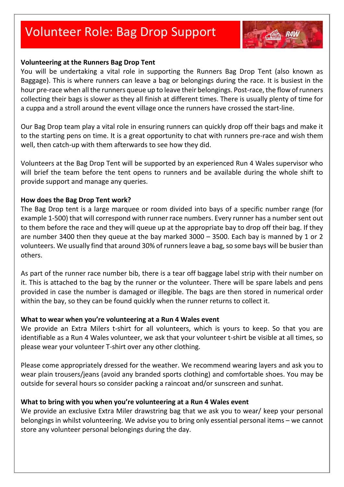# Volunteer Role: Bag Drop Support



#### **Volunteering at the Runners Bag Drop Tent**

You will be undertaking a vital role in supporting the Runners Bag Drop Tent (also known as Baggage). This is where runners can leave a bag or belongings during the race. It is busiest in the hour pre-race when all the runners queue up to leave their belongings. Post-race, the flow of runners collecting their bags is slower as they all finish at different times. There is usually plenty of time for a cuppa and a stroll around the event village once the runners have crossed the start-line.

Our Bag Drop team play a vital role in ensuring runners can quickly drop off their bags and make it to the starting pens on time. It is a great opportunity to chat with runners pre-race and wish them well, then catch-up with them afterwards to see how they did.

Volunteers at the Bag Drop Tent will be supported by an experienced Run 4 Wales supervisor who will brief the team before the tent opens to runners and be available during the whole shift to provide support and manage any queries.

#### **How does the Bag Drop Tent work?**

The Bag Drop tent is a large marquee or room divided into bays of a specific number range (for example 1-500) that will correspond with runner race numbers. Every runner has a number sent out to them before the race and they will queue up at the appropriate bay to drop off their bag. If they are number 3400 then they queue at the bay marked 3000 – 3500. Each bay is manned by 1 or 2 volunteers. We usually find that around 30% of runners leave a bag, so some bays will be busier than others.

As part of the runner race number bib, there is a tear off baggage label strip with their number on it. This is attached to the bag by the runner or the volunteer. There will be spare labels and pens provided in case the number is damaged or illegible. The bags are then stored in numerical order within the bay, so they can be found quickly when the runner returns to collect it.

#### **What to wear when you're volunteering at a Run 4 Wales event**

We provide an Extra Milers t-shirt for all volunteers, which is yours to keep. So that you are identifiable as a Run 4 Wales volunteer, we ask that your volunteer t-shirt be visible at all times, so please wear your volunteer T-shirt over any other clothing.

Please come appropriately dressed for the weather. We recommend wearing layers and ask you to wear plain trousers/jeans (avoid any branded sports clothing) and comfortable shoes. You may be outside for several hours so consider packing a raincoat and/or sunscreen and sunhat.

#### **What to bring with you when you're volunteering at a Run 4 Wales event**

We provide an exclusive Extra Miler drawstring bag that we ask you to wear/ keep your personal belongings in whilst volunteering. We advise you to bring only essential personal items – we cannot store any volunteer personal belongings during the day.